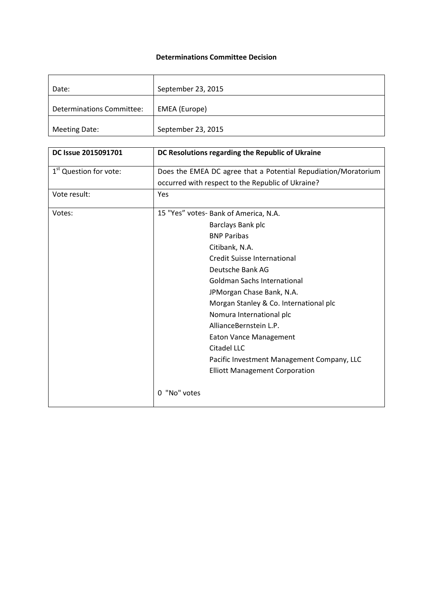## **Determinations Committee Decision**

| Date:                            | September 23, 2015 |
|----------------------------------|--------------------|
| <b>Determinations Committee:</b> | EMEA (Europe)      |
| <b>Meeting Date:</b>             | September 23, 2015 |

| DC Issue 2015091701                | DC Resolutions regarding the Republic of Ukraine               |
|------------------------------------|----------------------------------------------------------------|
| 1 <sup>st</sup> Question for vote: | Does the EMEA DC agree that a Potential Repudiation/Moratorium |
|                                    | occurred with respect to the Republic of Ukraine?              |
| Vote result:                       | Yes                                                            |
| Votes:                             | 15 "Yes" votes- Bank of America, N.A.                          |
|                                    | Barclays Bank plc                                              |
|                                    | <b>BNP Paribas</b>                                             |
|                                    | Citibank, N.A.                                                 |
|                                    | <b>Credit Suisse International</b>                             |
|                                    | Deutsche Bank AG                                               |
|                                    | <b>Goldman Sachs International</b>                             |
|                                    | JPMorgan Chase Bank, N.A.                                      |
|                                    | Morgan Stanley & Co. International plc                         |
|                                    | Nomura International plc                                       |
|                                    | AllianceBernstein L.P.                                         |
|                                    | <b>Eaton Vance Management</b>                                  |
|                                    | Citadel LLC                                                    |
|                                    | Pacific Investment Management Company, LLC                     |
|                                    | <b>Elliott Management Corporation</b>                          |
|                                    | 0 "No" votes                                                   |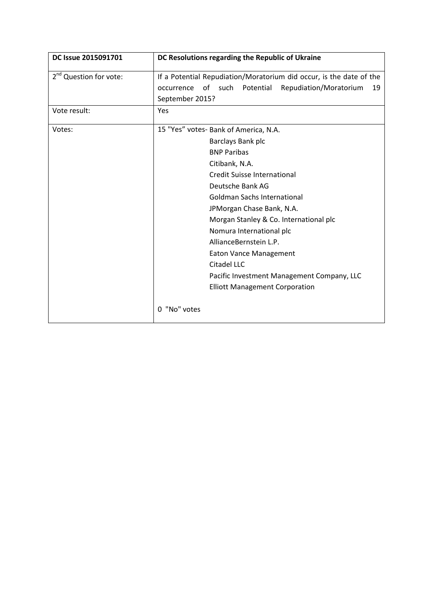| DC Issue 2015091701                | DC Resolutions regarding the Republic of Ukraine                                                                                                                                                                                                                                                                                                                                                                                                                                |
|------------------------------------|---------------------------------------------------------------------------------------------------------------------------------------------------------------------------------------------------------------------------------------------------------------------------------------------------------------------------------------------------------------------------------------------------------------------------------------------------------------------------------|
| 2 <sup>nd</sup> Question for vote: | If a Potential Repudiation/Moratorium did occur, is the date of the<br>of such<br>Potential<br>Repudiation/Moratorium<br>occurrence<br>19<br>September 2015?                                                                                                                                                                                                                                                                                                                    |
| Vote result:                       | Yes                                                                                                                                                                                                                                                                                                                                                                                                                                                                             |
| Votes:                             | 15 "Yes" votes- Bank of America, N.A.<br>Barclays Bank plc<br><b>BNP Paribas</b><br>Citibank, N.A.<br><b>Credit Suisse International</b><br>Deutsche Bank AG<br>Goldman Sachs International<br>JPMorgan Chase Bank, N.A.<br>Morgan Stanley & Co. International plc<br>Nomura International plc<br>AllianceBernstein L.P.<br><b>Eaton Vance Management</b><br>Citadel LLC<br>Pacific Investment Management Company, LLC<br><b>Elliott Management Corporation</b><br>0 "No" votes |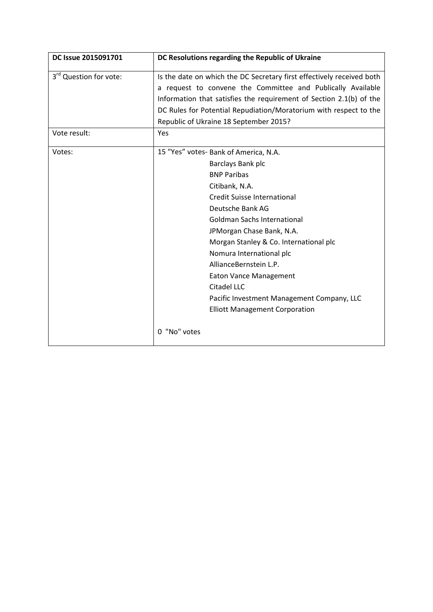| DC Issue 2015091701                | DC Resolutions regarding the Republic of Ukraine                                                                                                                                                                                                                                                                                                                                                                                                                                       |
|------------------------------------|----------------------------------------------------------------------------------------------------------------------------------------------------------------------------------------------------------------------------------------------------------------------------------------------------------------------------------------------------------------------------------------------------------------------------------------------------------------------------------------|
| 3 <sup>rd</sup> Question for vote: | Is the date on which the DC Secretary first effectively received both<br>a request to convene the Committee and Publically Available<br>Information that satisfies the requirement of Section 2.1(b) of the<br>DC Rules for Potential Repudiation/Moratorium with respect to the<br>Republic of Ukraine 18 September 2015?                                                                                                                                                             |
| Vote result:                       | Yes                                                                                                                                                                                                                                                                                                                                                                                                                                                                                    |
| Votes:                             | 15 "Yes" votes- Bank of America, N.A.<br>Barclays Bank plc<br><b>BNP Paribas</b><br>Citibank, N.A.<br><b>Credit Suisse International</b><br>Deutsche Bank AG<br><b>Goldman Sachs International</b><br>JPMorgan Chase Bank, N.A.<br>Morgan Stanley & Co. International plc<br>Nomura International plc<br>AllianceBernstein L.P.<br><b>Eaton Vance Management</b><br>Citadel LLC<br>Pacific Investment Management Company, LLC<br><b>Elliott Management Corporation</b><br>0 "No" votes |